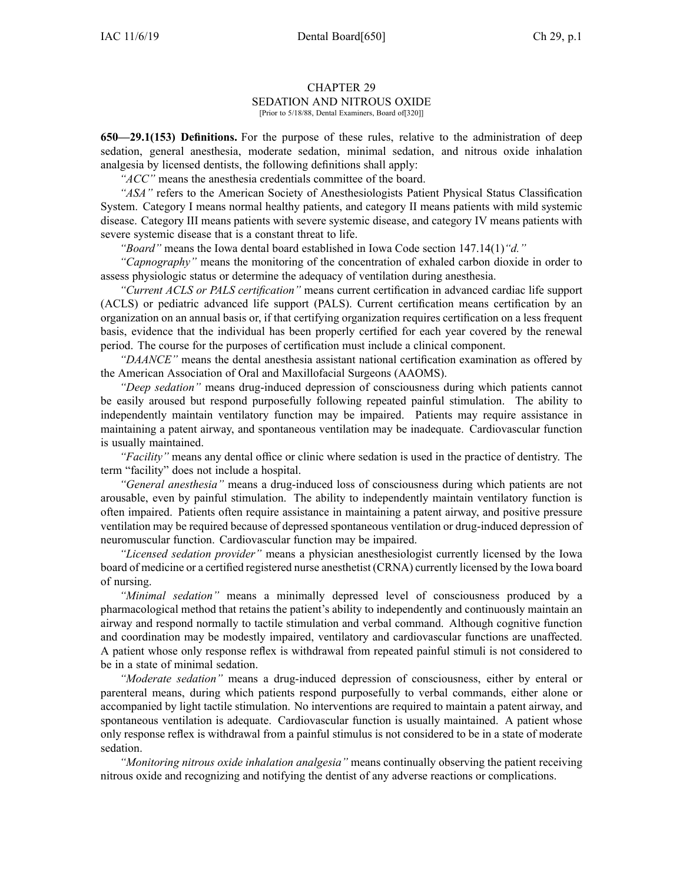#### CHAPTER 29 SEDATION AND NITROUS OXIDE [Prior to 5/18/88, Dental Examiners, Board of[320]]

**650—29.1(153) Definitions.** For the purpose of these rules, relative to the administration of deep sedation, general anesthesia, moderate sedation, minimal sedation, and nitrous oxide inhalation analgesia by licensed dentists, the following definitions shall apply:

*"ACC"* means the anesthesia credentials committee of the board.

*"ASA"* refers to the American Society of Anesthesiologists Patient Physical Status Classification System. Category I means normal healthy patients, and category II means patients with mild systemic disease. Category III means patients with severe systemic disease, and category IV means patients with severe systemic disease that is <sup>a</sup> constant threat to life.

*"Board"* means the Iowa dental board established in Iowa Code section 147.14(1)*"d."*

*"Capnography"* means the monitoring of the concentration of exhaled carbon dioxide in order to assess physiologic status or determine the adequacy of ventilation during anesthesia.

*"Current ACLS or PALS certification"* means current certification in advanced cardiac life suppor<sup>t</sup> (ACLS) or pediatric advanced life suppor<sup>t</sup> (PALS). Current certification means certification by an organization on an annual basis or, if that certifying organization requires certification on <sup>a</sup> less frequent basis, evidence that the individual has been properly certified for each year covered by the renewal period. The course for the purposes of certification must include <sup>a</sup> clinical component.

*"DAANCE"* means the dental anesthesia assistant national certification examination as offered by the American Association of Oral and Maxillofacial Surgeons (AAOMS).

*"Deep sedation"* means drug-induced depression of consciousness during which patients cannot be easily aroused but respond purposefully following repeated painful stimulation. The ability to independently maintain ventilatory function may be impaired. Patients may require assistance in maintaining <sup>a</sup> patent airway, and spontaneous ventilation may be inadequate. Cardiovascular function is usually maintained.

*"Facility"* means any dental office or clinic where sedation is used in the practice of dentistry. The term "facility" does not include <sup>a</sup> hospital.

*"General anesthesia"* means <sup>a</sup> drug-induced loss of consciousness during which patients are not arousable, even by painful stimulation. The ability to independently maintain ventilatory function is often impaired. Patients often require assistance in maintaining <sup>a</sup> patent airway, and positive pressure ventilation may be required because of depressed spontaneous ventilation or drug-induced depression of neuromuscular function. Cardiovascular function may be impaired.

*"Licensed sedation provider"* means <sup>a</sup> physician anesthesiologist currently licensed by the Iowa board of medicine or <sup>a</sup> certified registered nurse anesthetist (CRNA) currently licensed by the Iowa board of nursing.

*"Minimal sedation"* means <sup>a</sup> minimally depressed level of consciousness produced by <sup>a</sup> pharmacological method that retains the patient's ability to independently and continuously maintain an airway and respond normally to tactile stimulation and verbal command. Although cognitive function and coordination may be modestly impaired, ventilatory and cardiovascular functions are unaffected. A patient whose only response reflex is withdrawal from repeated painful stimuli is not considered to be in <sup>a</sup> state of minimal sedation.

*"Moderate sedation"* means <sup>a</sup> drug-induced depression of consciousness, either by enteral or parenteral means, during which patients respond purposefully to verbal commands, either alone or accompanied by light tactile stimulation. No interventions are required to maintain <sup>a</sup> patent airway, and spontaneous ventilation is adequate. Cardiovascular function is usually maintained. A patient whose only response reflex is withdrawal from <sup>a</sup> painful stimulus is not considered to be in <sup>a</sup> state of moderate sedation.

*"Monitoring nitrous oxide inhalation analgesia"* means continually observing the patient receiving nitrous oxide and recognizing and notifying the dentist of any adverse reactions or complications.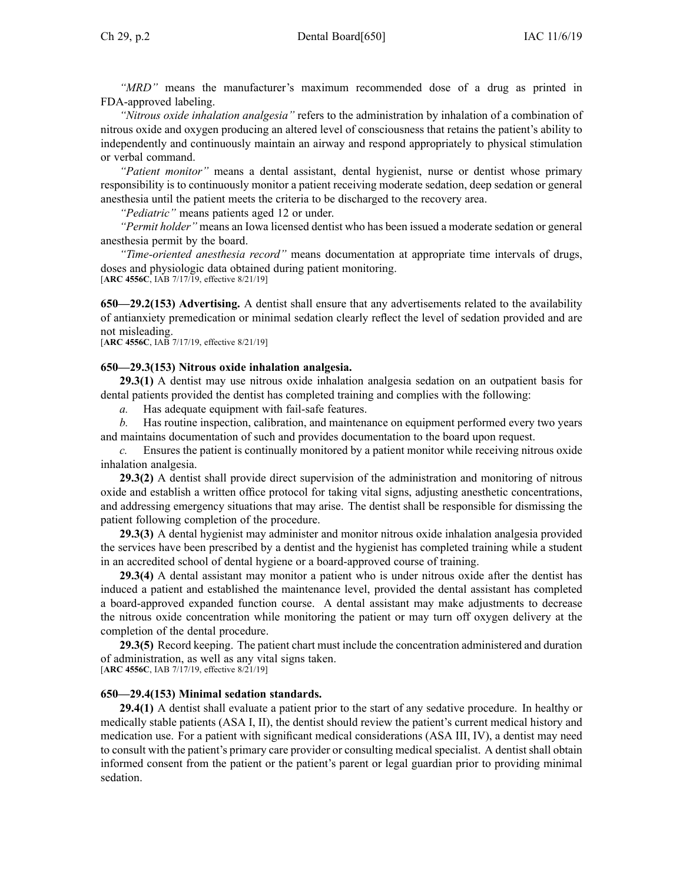*"MRD"* means the manufacturer's maximum recommended dose of <sup>a</sup> drug as printed in FDA-approved labeling.

*"Nitrous oxide inhalation analgesia"* refers to the administration by inhalation of <sup>a</sup> combination of nitrous oxide and oxygen producing an altered level of consciousness that retains the patient's ability to independently and continuously maintain an airway and respond appropriately to physical stimulation or verbal command.

*"Patient monitor"* means <sup>a</sup> dental assistant, dental hygienist, nurse or dentist whose primary responsibility is to continuously monitor <sup>a</sup> patient receiving moderate sedation, deep sedation or general anesthesia until the patient meets the criteria to be discharged to the recovery area.

*"Pediatric"* means patients aged 12 or under.

*"Permit holder"* means an Iowa licensed dentist who has been issued <sup>a</sup> moderate sedation or general anesthesia permit by the board.

*"Time-oriented anesthesia record"* means documentation at appropriate time intervals of drugs, doses and physiologic data obtained during patient monitoring. [**ARC [4556C](https://www.legis.iowa.gov/docs/aco/arc/4556C.pdf)**, IAB 7/17/19, effective 8/21/19]

**650—29.2(153) Advertising.** A dentist shall ensure that any advertisements related to the availability of antianxiety premedication or minimal sedation clearly reflect the level of sedation provided and are not misleading.

[**ARC [4556C](https://www.legis.iowa.gov/docs/aco/arc/4556C.pdf)**, IAB 7/17/19, effective 8/21/19]

#### **650—29.3(153) Nitrous oxide inhalation analgesia.**

**29.3(1)** A dentist may use nitrous oxide inhalation analgesia sedation on an outpatient basis for dental patients provided the dentist has completed training and complies with the following:

*a.* Has adequate equipment with fail-safe features.

*b.* Has routine inspection, calibration, and maintenance on equipment performed every two years and maintains documentation of such and provides documentation to the board upon request.

*c.* Ensures the patient is continually monitored by <sup>a</sup> patient monitor while receiving nitrous oxide inhalation analgesia.

**29.3(2)** A dentist shall provide direct supervision of the administration and monitoring of nitrous oxide and establish <sup>a</sup> written office protocol for taking vital signs, adjusting anesthetic concentrations, and addressing emergency situations that may arise. The dentist shall be responsible for dismissing the patient following completion of the procedure.

**29.3(3)** A dental hygienist may administer and monitor nitrous oxide inhalation analgesia provided the services have been prescribed by <sup>a</sup> dentist and the hygienist has completed training while <sup>a</sup> student in an accredited school of dental hygiene or <sup>a</sup> board-approved course of training.

**29.3(4)** A dental assistant may monitor <sup>a</sup> patient who is under nitrous oxide after the dentist has induced <sup>a</sup> patient and established the maintenance level, provided the dental assistant has completed <sup>a</sup> board-approved expanded function course. A dental assistant may make adjustments to decrease the nitrous oxide concentration while monitoring the patient or may turn off oxygen delivery at the completion of the dental procedure.

**29.3(5)** Record keeping. The patient chart must include the concentration administered and duration of administration, as well as any vital signs taken.

[**ARC [4556C](https://www.legis.iowa.gov/docs/aco/arc/4556C.pdf)**, IAB 7/17/19, effective 8/21/19]

#### **650—29.4(153) Minimal sedation standards.**

**29.4(1)** A dentist shall evaluate <sup>a</sup> patient prior to the start of any sedative procedure. In healthy or medically stable patients (ASA I, II), the dentist should review the patient's current medical history and medication use. For <sup>a</sup> patient with significant medical considerations (ASA III, IV), <sup>a</sup> dentist may need to consult with the patient's primary care provider or consulting medical specialist. A dentist shall obtain informed consent from the patient or the patient's paren<sup>t</sup> or legal guardian prior to providing minimal sedation.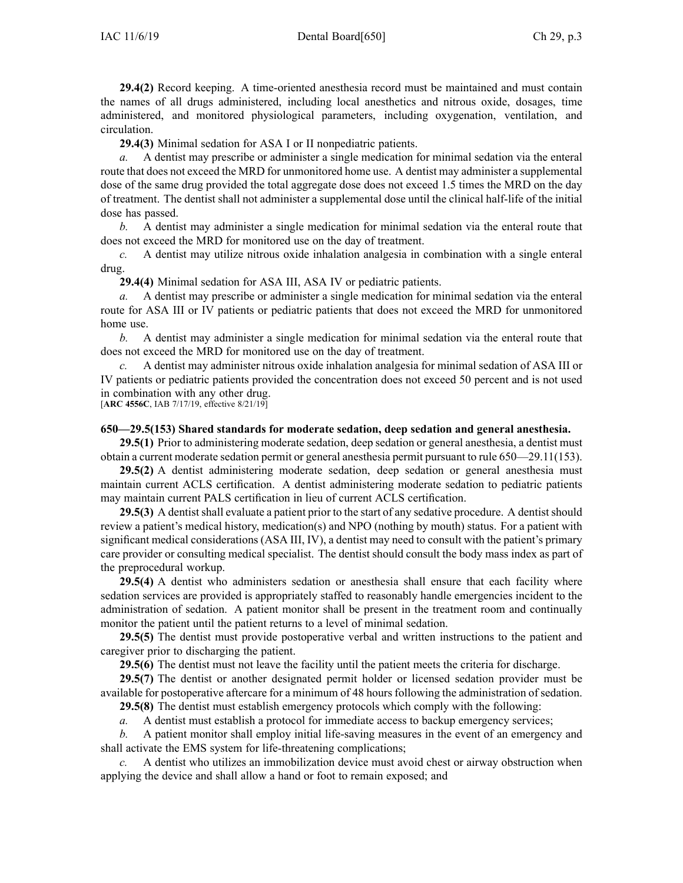**29.4(2)** Record keeping. A time-oriented anesthesia record must be maintained and must contain the names of all drugs administered, including local anesthetics and nitrous oxide, dosages, time administered, and monitored physiological parameters, including oxygenation, ventilation, and circulation.

**29.4(3)** Minimal sedation for ASA I or II nonpediatric patients.

*a.* A dentist may prescribe or administer <sup>a</sup> single medication for minimal sedation via the enteral route that does not exceed the MRD for unmonitored home use. A dentist may administer <sup>a</sup> supplemental dose of the same drug provided the total aggregate dose does not exceed 1.5 times the MRD on the day of treatment. The dentist shall not administer <sup>a</sup> supplemental dose until the clinical half-life of the initial dose has passed.

*b.* A dentist may administer <sup>a</sup> single medication for minimal sedation via the enteral route that does not exceed the MRD for monitored use on the day of treatment.

*c.* A dentist may utilize nitrous oxide inhalation analgesia in combination with <sup>a</sup> single enteral drug.

**29.4(4)** Minimal sedation for ASA III, ASA IV or pediatric patients.

*a.* A dentist may prescribe or administer <sup>a</sup> single medication for minimal sedation via the enteral route for ASA III or IV patients or pediatric patients that does not exceed the MRD for unmonitored home use.

*b.* A dentist may administer <sup>a</sup> single medication for minimal sedation via the enteral route that does not exceed the MRD for monitored use on the day of treatment.

*c.* A dentist may administer nitrous oxide inhalation analgesia for minimal sedation of ASA III or IV patients or pediatric patients provided the concentration does not exceed 50 percen<sup>t</sup> and is not used in combination with any other drug.

[**ARC [4556C](https://www.legis.iowa.gov/docs/aco/arc/4556C.pdf)**, IAB 7/17/19, effective 8/21/19]

#### **650—29.5(153) Shared standards for moderate sedation, deep sedation and general anesthesia.**

**29.5(1)** Prior to administering moderate sedation, deep sedation or general anesthesia, <sup>a</sup> dentist must obtain <sup>a</sup> current moderate sedation permit or general anesthesia permit pursuan<sup>t</sup> to rule 650—29.11(153).

**29.5(2)** A dentist administering moderate sedation, deep sedation or general anesthesia must maintain current ACLS certification. A dentist administering moderate sedation to pediatric patients may maintain current PALS certification in lieu of current ACLS certification.

**29.5(3)** A dentist shall evaluate a patient prior to the start of any sedative procedure. A dentist should review <sup>a</sup> patient's medical history, medication(s) and NPO (nothing by mouth) status. For <sup>a</sup> patient with significant medical considerations (ASA III, IV), <sup>a</sup> dentist may need to consult with the patient's primary care provider or consulting medical specialist. The dentist should consult the body mass index as par<sup>t</sup> of the preprocedural workup.

**29.5(4)** A dentist who administers sedation or anesthesia shall ensure that each facility where sedation services are provided is appropriately staffed to reasonably handle emergencies incident to the administration of sedation. A patient monitor shall be presen<sup>t</sup> in the treatment room and continually monitor the patient until the patient returns to <sup>a</sup> level of minimal sedation.

**29.5(5)** The dentist must provide postoperative verbal and written instructions to the patient and caregiver prior to discharging the patient.

**29.5(6)** The dentist must not leave the facility until the patient meets the criteria for discharge.

**29.5(7)** The dentist or another designated permit holder or licensed sedation provider must be available for postoperative aftercare for <sup>a</sup> minimum of 48 hours following the administration of sedation.

**29.5(8)** The dentist must establish emergency protocols which comply with the following:

*a.* A dentist must establish <sup>a</sup> protocol for immediate access to backup emergency services;

*b.* A patient monitor shall employ initial life-saving measures in the event of an emergency and shall activate the EMS system for life-threatening complications;

*c.* A dentist who utilizes an immobilization device must avoid chest or airway obstruction when applying the device and shall allow <sup>a</sup> hand or foot to remain exposed; and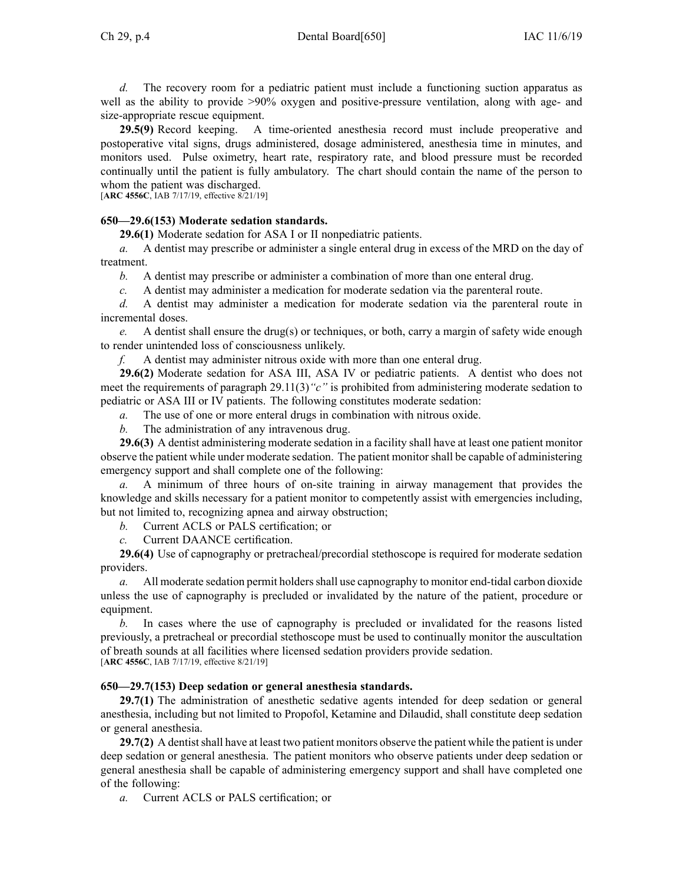*d.* The recovery room for <sup>a</sup> pediatric patient must include <sup>a</sup> functioning suction apparatus as well as the ability to provide >90% oxygen and positive-pressure ventilation, along with age- and size-appropriate rescue equipment.

**29.5(9)** Record keeping. A time-oriented anesthesia record must include preoperative and postoperative vital signs, drugs administered, dosage administered, anesthesia time in minutes, and monitors used. Pulse oximetry, heart rate, respiratory rate, and blood pressure must be recorded continually until the patient is fully ambulatory. The chart should contain the name of the person to whom the patient was discharged.

[**ARC [4556C](https://www.legis.iowa.gov/docs/aco/arc/4556C.pdf)**, IAB 7/17/19, effective 8/21/19]

#### **650—29.6(153) Moderate sedation standards.**

**29.6(1)** Moderate sedation for ASA I or II nonpediatric patients.

*a.* A dentist may prescribe or administer <sup>a</sup> single enteral drug in excess of the MRD on the day of treatment.

*b.* A dentist may prescribe or administer <sup>a</sup> combination of more than one enteral drug.

*c.* A dentist may administer <sup>a</sup> medication for moderate sedation via the parenteral route.

*d.* A dentist may administer <sup>a</sup> medication for moderate sedation via the parenteral route in incremental doses.

*e.* A dentist shall ensure the drug(s) or techniques, or both, carry <sup>a</sup> margin of safety wide enough to render unintended loss of consciousness unlikely.

*f.* A dentist may administer nitrous oxide with more than one enteral drug.

**29.6(2)** Moderate sedation for ASA III, ASA IV or pediatric patients. A dentist who does not meet the requirements of paragraph 29.11(3)*"c"* is prohibited from administering moderate sedation to pediatric or ASA III or IV patients. The following constitutes moderate sedation:

*a.* The use of one or more enteral drugs in combination with nitrous oxide.

*b.* The administration of any intravenous drug.

**29.6(3)** A dentist administering moderate sedation in <sup>a</sup> facility shall have at least one patient monitor observe the patient while under moderate sedation. The patient monitorshall be capable of administering emergency suppor<sup>t</sup> and shall complete one of the following:

*a.* A minimum of three hours of on-site training in airway managemen<sup>t</sup> that provides the knowledge and skills necessary for <sup>a</sup> patient monitor to competently assist with emergencies including, but not limited to, recognizing apnea and airway obstruction;

*b.* Current ACLS or PALS certification; or

*c.* Current DAANCE certification.

**29.6(4)** Use of capnography or pretracheal/precordial stethoscope is required for moderate sedation providers.

*a.* All moderate sedation permit holdersshall use capnography to monitor end-tidal carbon dioxide unless the use of capnography is precluded or invalidated by the nature of the patient, procedure or equipment.

*b.* In cases where the use of capnography is precluded or invalidated for the reasons listed previously, <sup>a</sup> pretracheal or precordial stethoscope must be used to continually monitor the auscultation of breath sounds at all facilities where licensed sedation providers provide sedation. [**ARC [4556C](https://www.legis.iowa.gov/docs/aco/arc/4556C.pdf)**, IAB 7/17/19, effective 8/21/19]

## **650—29.7(153) Deep sedation or general anesthesia standards.**

**29.7(1)** The administration of anesthetic sedative agents intended for deep sedation or general anesthesia, including but not limited to Propofol, Ketamine and Dilaudid, shall constitute deep sedation or general anesthesia.

**29.7(2)** A dentist shall have at least two patient monitors observe the patient while the patient is under deep sedation or general anesthesia. The patient monitors who observe patients under deep sedation or general anesthesia shall be capable of administering emergency suppor<sup>t</sup> and shall have completed one of the following:

*a.* Current ACLS or PALS certification; or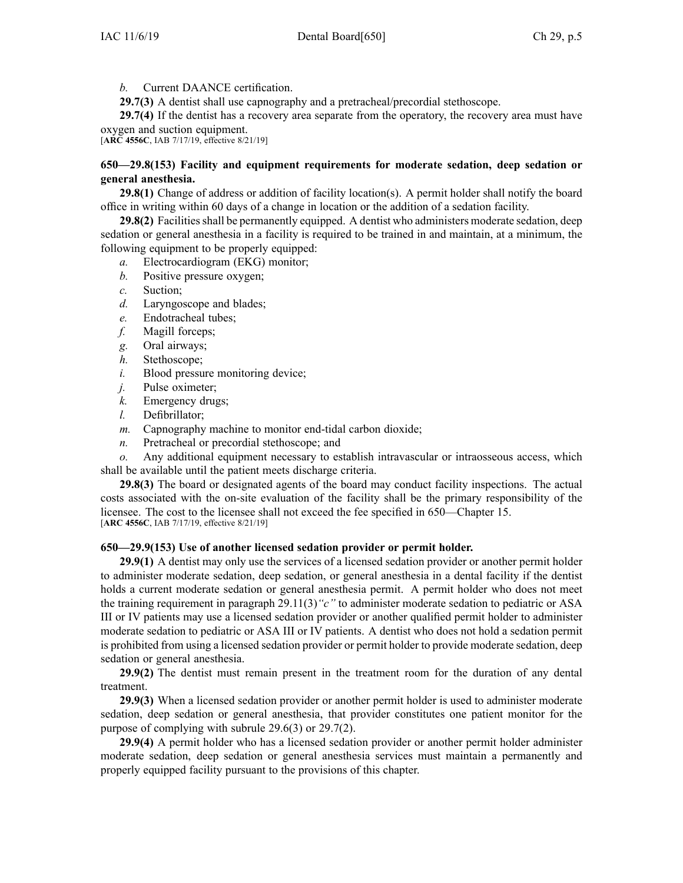*b.* Current DAANCE certification.

**29.7(3)** A dentist shall use capnography and <sup>a</sup> pretracheal/precordial stethoscope.

**29.7(4)** If the dentist has <sup>a</sup> recovery area separate from the operatory, the recovery area must have oxygen and suction equipment.

[**ARC [4556C](https://www.legis.iowa.gov/docs/aco/arc/4556C.pdf)**, IAB 7/17/19, effective 8/21/19]

## **650—29.8(153) Facility and equipment requirements for moderate sedation, deep sedation or general anesthesia.**

**29.8(1)** Change of address or addition of facility location(s). A permit holder shall notify the board office in writing within 60 days of <sup>a</sup> change in location or the addition of <sup>a</sup> sedation facility.

29.8(2) Facilities shall be permanently equipped. A dentist who administers moderate sedation, deep sedation or general anesthesia in <sup>a</sup> facility is required to be trained in and maintain, at <sup>a</sup> minimum, the following equipment to be properly equipped:

- *a.* Electrocardiogram (EKG) monitor;
- *b.* Positive pressure oxygen;
- *c.* Suction;
- *d.* Laryngoscope and blades;
- *e.* Endotracheal tubes;
- *f.* Magill forceps;
- *g.* Oral airways;
- *h.* Stethoscope;
- *i.* Blood pressure monitoring device;
- *j.* Pulse oximeter;
- *k.* Emergency drugs;
- *l.* Defibrillator;
- *m.* Capnography machine to monitor end-tidal carbon dioxide;
- *n.* Pretracheal or precordial stethoscope; and

*o.* Any additional equipment necessary to establish intravascular or intraosseous access, which shall be available until the patient meets discharge criteria.

**29.8(3)** The board or designated agents of the board may conduct facility inspections. The actual costs associated with the on-site evaluation of the facility shall be the primary responsibility of the licensee. The cost to the licensee shall not exceed the fee specified in 650—Chapter 15. [**ARC [4556C](https://www.legis.iowa.gov/docs/aco/arc/4556C.pdf)**, IAB 7/17/19, effective 8/21/19]

## **650—29.9(153) Use of another licensed sedation provider or permit holder.**

**29.9(1)** A dentist may only use the services of <sup>a</sup> licensed sedation provider or another permit holder to administer moderate sedation, deep sedation, or general anesthesia in <sup>a</sup> dental facility if the dentist holds <sup>a</sup> current moderate sedation or general anesthesia permit. A permit holder who does not meet the training requirement in paragraph 29.11(3)*"c"* to administer moderate sedation to pediatric or ASA III or IV patients may use <sup>a</sup> licensed sedation provider or another qualified permit holder to administer moderate sedation to pediatric or ASA III or IV patients. A dentist who does not hold <sup>a</sup> sedation permit is prohibited from using <sup>a</sup> licensed sedation provider or permit holder to provide moderate sedation, deep sedation or general anesthesia.

**29.9(2)** The dentist must remain presen<sup>t</sup> in the treatment room for the duration of any dental treatment.

**29.9(3)** When <sup>a</sup> licensed sedation provider or another permit holder is used to administer moderate sedation, deep sedation or general anesthesia, that provider constitutes one patient monitor for the purpose of complying with subrule 29.6(3) or 29.7(2).

**29.9(4)** A permit holder who has <sup>a</sup> licensed sedation provider or another permit holder administer moderate sedation, deep sedation or general anesthesia services must maintain <sup>a</sup> permanently and properly equipped facility pursuan<sup>t</sup> to the provisions of this chapter.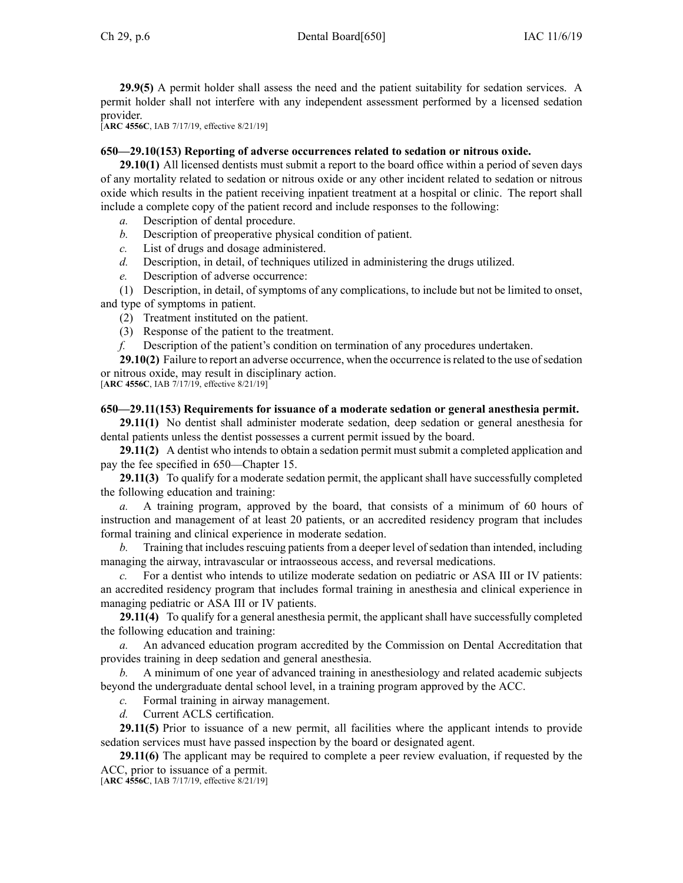**29.9(5)** A permit holder shall assess the need and the patient suitability for sedation services. A permit holder shall not interfere with any independent assessment performed by <sup>a</sup> licensed sedation provider.

[**ARC [4556C](https://www.legis.iowa.gov/docs/aco/arc/4556C.pdf)**, IAB 7/17/19, effective 8/21/19]

## **650—29.10(153) Reporting of adverse occurrences related to sedation or nitrous oxide.**

**29.10(1)** All licensed dentists must submit <sup>a</sup> repor<sup>t</sup> to the board office within <sup>a</sup> period of seven days of any mortality related to sedation or nitrous oxide or any other incident related to sedation or nitrous oxide which results in the patient receiving inpatient treatment at <sup>a</sup> hospital or clinic. The repor<sup>t</sup> shall include <sup>a</sup> complete copy of the patient record and include responses to the following:

- *a.* Description of dental procedure.
- *b.* Description of preoperative physical condition of patient.
- *c.* List of drugs and dosage administered.
- *d.* Description, in detail, of techniques utilized in administering the drugs utilized.
- *e.* Description of adverse occurrence:

(1) Description, in detail, of symptoms of any complications, to include but not be limited to onset, and type of symptoms in patient.

- (2) Treatment instituted on the patient.
- (3) Response of the patient to the treatment.
- *f.* Description of the patient's condition on termination of any procedures undertaken.

**29.10(2)** Failure to repor<sup>t</sup> an adverse occurrence, when the occurrence isrelated to the use ofsedation or nitrous oxide, may result in disciplinary action.

[**ARC [4556C](https://www.legis.iowa.gov/docs/aco/arc/4556C.pdf)**, IAB 7/17/19, effective 8/21/19]

#### **650—29.11(153) Requirements for issuance of <sup>a</sup> moderate sedation or general anesthesia permit.**

**29.11(1)** No dentist shall administer moderate sedation, deep sedation or general anesthesia for dental patients unless the dentist possesses <sup>a</sup> current permit issued by the board.

**29.11(2)** A dentist who intends to obtain <sup>a</sup> sedation permit must submit <sup>a</sup> completed application and pay the fee specified in 650—Chapter 15.

**29.11(3)** To qualify for <sup>a</sup> moderate sedation permit, the applicant shall have successfully completed the following education and training:

*a.* A training program, approved by the board, that consists of <sup>a</sup> minimum of 60 hours of instruction and managemen<sup>t</sup> of at least 20 patients, or an accredited residency program that includes formal training and clinical experience in moderate sedation.

*b.* Training that includes rescuing patients from <sup>a</sup> deeper level of sedation than intended, including managing the airway, intravascular or intraosseous access, and reversal medications.

*c.* For <sup>a</sup> dentist who intends to utilize moderate sedation on pediatric or ASA III or IV patients: an accredited residency program that includes formal training in anesthesia and clinical experience in managing pediatric or ASA III or IV patients.

**29.11(4)** To qualify for <sup>a</sup> general anesthesia permit, the applicant shall have successfully completed the following education and training:

*a.* An advanced education program accredited by the Commission on Dental Accreditation that provides training in deep sedation and general anesthesia.

*b.* A minimum of one year of advanced training in anesthesiology and related academic subjects beyond the undergraduate dental school level, in <sup>a</sup> training program approved by the ACC.

*c.* Formal training in airway management.

*d.* Current ACLS certification.

**29.11(5)** Prior to issuance of <sup>a</sup> new permit, all facilities where the applicant intends to provide sedation services must have passed inspection by the board or designated agent.

**29.11(6)** The applicant may be required to complete <sup>a</sup> peer review evaluation, if requested by the ACC, prior to issuance of <sup>a</sup> permit.

[**ARC [4556C](https://www.legis.iowa.gov/docs/aco/arc/4556C.pdf)**, IAB 7/17/19, effective 8/21/19]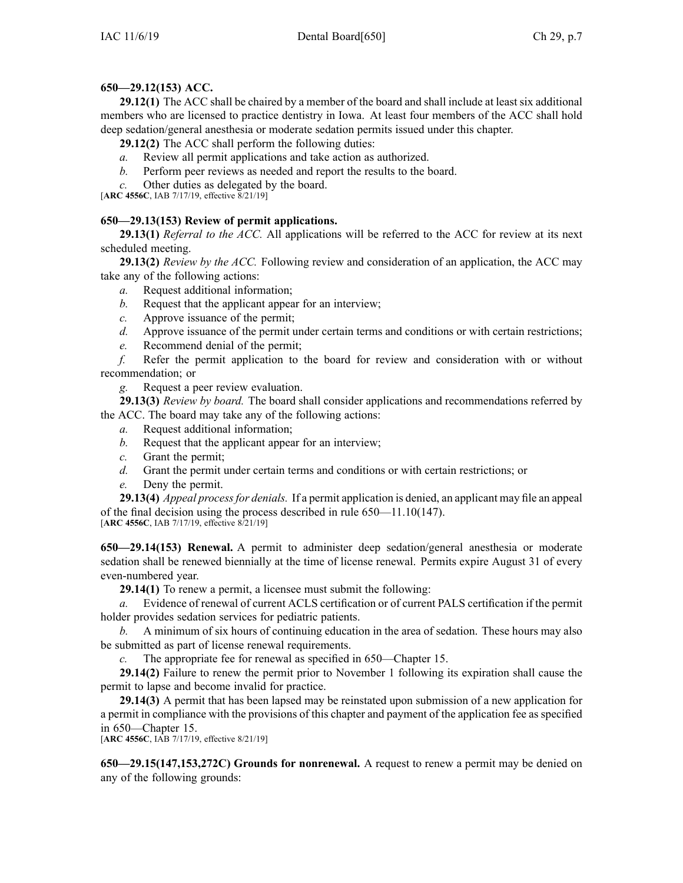# **650—29.12(153) ACC.**

**29.12(1)** The ACC shall be chaired by <sup>a</sup> member of the board and shall include at least six additional members who are licensed to practice dentistry in Iowa. At least four members of the ACC shall hold deep sedation/general anesthesia or moderate sedation permits issued under this chapter.

**29.12(2)** The ACC shall perform the following duties:

- *a.* Review all permit applications and take action as authorized.
- *b.* Perform peer reviews as needed and repor<sup>t</sup> the results to the board.
- *c.* Other duties as delegated by the board.

[**ARC [4556C](https://www.legis.iowa.gov/docs/aco/arc/4556C.pdf)**, IAB 7/17/19, effective 8/21/19]

## **650—29.13(153) Review of permit applications.**

**29.13(1)** *Referral to the ACC.* All applications will be referred to the ACC for review at its next scheduled meeting.

**29.13(2)** *Review by the ACC.* Following review and consideration of an application, the ACC may take any of the following actions:

- *a.* Request additional information;
- *b.* Request that the applicant appear for an interview;
- *c.* Approve issuance of the permit;
- *d.* Approve issuance of the permit under certain terms and conditions or with certain restrictions;
- *e.* Recommend denial of the permit;

*f.* Refer the permit application to the board for review and consideration with or without recommendation; or

*g.* Request <sup>a</sup> peer review evaluation.

**29.13(3)** *Review by board.* The board shall consider applications and recommendations referred by the ACC. The board may take any of the following actions:

- *a.* Request additional information;
- *b.* Request that the applicant appear for an interview;
- *c.* Grant the permit;
- *d.* Grant the permit under certain terms and conditions or with certain restrictions; or
- *e.* Deny the permit.

**29.13(4)** *Appeal processfor denials.* If <sup>a</sup> permit application is denied, an applicant may file an appeal of the final decision using the process described in rule 650—11.10(147).

[**ARC [4556C](https://www.legis.iowa.gov/docs/aco/arc/4556C.pdf)**, IAB 7/17/19, effective 8/21/19]

**650—29.14(153) Renewal.** A permit to administer deep sedation/general anesthesia or moderate sedation shall be renewed biennially at the time of license renewal. Permits expire August 31 of every even-numbered year.

**29.14(1)** To renew <sup>a</sup> permit, <sup>a</sup> licensee must submit the following:

*a.* Evidence of renewal of current ACLS certification or of current PALS certification if the permit holder provides sedation services for pediatric patients.

*b.* A minimum of six hours of continuing education in the area of sedation. These hours may also be submitted as par<sup>t</sup> of license renewal requirements.

*c.* The appropriate fee for renewal as specified in 650—Chapter 15.

**29.14(2)** Failure to renew the permit prior to November 1 following its expiration shall cause the permit to lapse and become invalid for practice.

**29.14(3)** A permit that has been lapsed may be reinstated upon submission of <sup>a</sup> new application for <sup>a</sup> permit in compliance with the provisions of this chapter and paymen<sup>t</sup> of the application fee as specified in 650—Chapter 15.

[**ARC [4556C](https://www.legis.iowa.gov/docs/aco/arc/4556C.pdf)**, IAB 7/17/19, effective 8/21/19]

**650—29.15(147,153,272C) Grounds for nonrenewal.** A reques<sup>t</sup> to renew <sup>a</sup> permit may be denied on any of the following grounds: